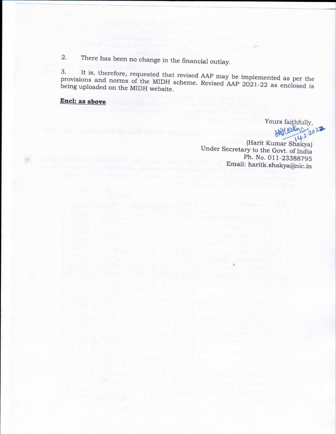There has been no change in the financial outlay.  $2.$ 

It is, therefore, requested that revised AAP may be implemented as per the 3. provisions and norms of the MIDH scheme. Revised AAP 2021-22 as enclosed is being uploaded on the MIDH website.

## Encl: as above

Yours faithfully, AASterland 2027

(Harit Kumar Shakya) Under Secretary to the Govt. of India Ph. No. 011-23388795 Email: haritk.shakya@nic.in

 $\mathcal{R}^{\text{int}}$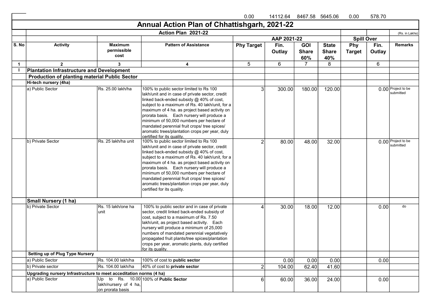|              |                                                                    |                                           |                                                                                                                                                                                                                                                                                                                                                                                                                                                                              | 0.00              | 14112.64       | 8467.58 5645.06                   |                                     | 0.00                 | 578.70         |                                 |
|--------------|--------------------------------------------------------------------|-------------------------------------------|------------------------------------------------------------------------------------------------------------------------------------------------------------------------------------------------------------------------------------------------------------------------------------------------------------------------------------------------------------------------------------------------------------------------------------------------------------------------------|-------------------|----------------|-----------------------------------|-------------------------------------|----------------------|----------------|---------------------------------|
|              |                                                                    |                                           | Annual Action Plan of Chhattishgarh, 2021-22                                                                                                                                                                                                                                                                                                                                                                                                                                 |                   |                |                                   |                                     |                      |                |                                 |
|              |                                                                    |                                           | Action Plan 2021-22                                                                                                                                                                                                                                                                                                                                                                                                                                                          |                   |                |                                   |                                     |                      |                | (Rs. in Lakhs)                  |
|              |                                                                    |                                           |                                                                                                                                                                                                                                                                                                                                                                                                                                                                              |                   | AAP 2021-22    |                                   |                                     | <b>Spill Over</b>    |                |                                 |
| S. No        | <b>Activity</b>                                                    | <b>Maximum</b><br>permissible<br>cost     | <b>Pattern of Assistance</b>                                                                                                                                                                                                                                                                                                                                                                                                                                                 | <b>Phy Target</b> | Fin.<br>Outlay | <b>GOI</b><br><b>Share</b><br>60% | <b>State</b><br><b>Share</b><br>40% | Phy<br><b>Target</b> | Fin.<br>Outlay | <b>Remarks</b>                  |
| $\mathbf{1}$ | $\mathbf{2}$                                                       | 3                                         | 4                                                                                                                                                                                                                                                                                                                                                                                                                                                                            | 5                 | 6              | $\overline{7}$                    | 8                                   |                      | 6              |                                 |
|              | <b>Plantation Infrastructure and Development</b>                   |                                           |                                                                                                                                                                                                                                                                                                                                                                                                                                                                              |                   |                |                                   |                                     |                      |                |                                 |
|              | <b>Production of planting material Public Sector</b>               |                                           |                                                                                                                                                                                                                                                                                                                                                                                                                                                                              |                   |                |                                   |                                     |                      |                |                                 |
|              | Hi-tech nursery (4ha)                                              |                                           |                                                                                                                                                                                                                                                                                                                                                                                                                                                                              |                   |                |                                   |                                     |                      |                |                                 |
|              | a) Public Sector                                                   | Rs. 25.00 lakh/ha                         | 100% to public sector limited to Rs 100<br>lakh/unit and in case of private sector, credit<br>linked back-ended subsidy @ 40% of cost,<br>subject to a maximum of Rs. 40 lakh/unit, for a<br>$\vert$ maximum of 4 ha. as project based activity on<br>prorata basis. Each nursery will produce a<br>minimum of 50,000 numbers per hectare of<br>mandated perennial fruit crops/ tree spices/<br>aromatic trees/plantation crops per year, duly<br>certified for its quality. | 3                 | 300.00         | 180.00                            | 120.00                              |                      |                | 0.00 Project to be<br>submitted |
|              | b) Private Sector                                                  | Rs. 25 lakh/ha unit                       | 100% to public sector limited to Rs 100<br>lakh/unit and in case of private sector, credit<br>linked back-ended subsidy @ 40% of cost,<br>subject to a maximum of Rs. 40 lakh/unit, for a<br>maximum of 4 ha. as project based activity on<br>prorata basis. Each nursery will produce a<br>minimum of 50,000 numbers per hectare of<br>mandated perennial fruit crops/ tree spices/<br>aromatic trees/plantation crops per year, duly<br>certified for its quality.         | $\overline{2}$    | 80.00          | 48.00                             | 32.00                               |                      |                | 0.00 Project to be<br>submitted |
|              | <b>Small Nursery (1 ha)</b>                                        |                                           |                                                                                                                                                                                                                                                                                                                                                                                                                                                                              |                   |                |                                   |                                     |                      |                |                                 |
|              | b) Private Sector                                                  | Rs. 15 lakh/one ha<br>unit                | 100% to public sector and in case of private<br>sector, credit linked back-ended subsidy of<br>cost, subject to a maximum of Rs. 7.50<br>lakh/unit, as project based activity. Each<br>nursery will produce a minimum of 25,000<br>numbers of mandated perennial vegetatively<br>propagated fruit plants/tree spices/plantation<br>crops per year, aromatic plants, duly certified<br>for its quality.                                                                       | 4                 | 30.00          | 18.00                             | 12.00                               |                      | 0.00           | do                              |
|              | <b>Setting up of Plug Type Nursery</b>                             |                                           |                                                                                                                                                                                                                                                                                                                                                                                                                                                                              |                   |                |                                   |                                     |                      |                |                                 |
|              | a) Public Sector                                                   | Rs. 104.00 lakh/ha                        | 100% of cost to public sector                                                                                                                                                                                                                                                                                                                                                                                                                                                |                   | 0.00           | 0.00                              | 0.00                                |                      | 0.00           |                                 |
|              | b) Private sector                                                  | Rs. 104.00 lakh/ha                        | 40% of cost to <b>private sector</b>                                                                                                                                                                                                                                                                                                                                                                                                                                         | $\overline{2}$    | 104.00         | 62.40                             | 41.60                               |                      |                |                                 |
|              | Upgrading nursery Infrastructure to meet acceditation norms (4 ha) |                                           |                                                                                                                                                                                                                                                                                                                                                                                                                                                                              |                   |                |                                   |                                     |                      |                |                                 |
|              | a) Public Sector                                                   | lakh/nursery of 4 ha,<br>on prorata basis | Up to Rs. $10.00 100\%$ of Public Sector                                                                                                                                                                                                                                                                                                                                                                                                                                     | 6 <sup>1</sup>    | 60.00          | 36.00                             | 24.00                               |                      | 0.00           |                                 |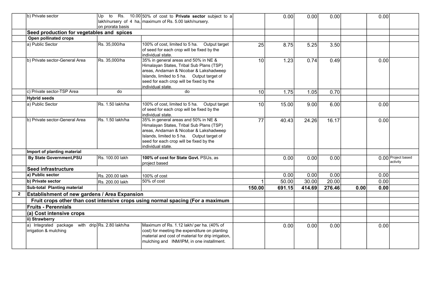|                | b) Private sector                                                         |                  | Up to Rs. 10.00 50% of cost to Private sector subject to a                                                                                                                                                                                |                 | 0.00   | 0.00   | 0.00   |      | 0.00 |                                |
|----------------|---------------------------------------------------------------------------|------------------|-------------------------------------------------------------------------------------------------------------------------------------------------------------------------------------------------------------------------------------------|-----------------|--------|--------|--------|------|------|--------------------------------|
|                |                                                                           | on prorata basis | lakh/nursery of 4 ha, $\frac{1}{2}$ maximum of Rs. 5.00 lakh/nursery.                                                                                                                                                                     |                 |        |        |        |      |      |                                |
|                | Seed production for vegetables and spices                                 |                  |                                                                                                                                                                                                                                           |                 |        |        |        |      |      |                                |
|                | Open pollinated crops                                                     |                  |                                                                                                                                                                                                                                           |                 |        |        |        |      |      |                                |
|                | a) Public Sector                                                          | Rs. 35,000/ha    | 100% of cost, limited to 5 ha. Output target<br>of seed for each crop will be fixed by the<br>individual state.                                                                                                                           | 25              | 8.75   | 5.25   | 3.50   |      |      |                                |
|                | b) Private sector-General Area                                            | Rs. 35,000/ha    | 35% in general areas and 50% in NE &<br>Himalayan States, Tribal Sub Plans (TSP)<br>areas, Andaman & Nicobar & Lakshadweep<br>Islands, limited to 5 ha. Output target of<br>seed for each crop will be fixed by the<br>individual state.  | 10 <sup>1</sup> | 1.23   | 0.74   | 0.49   |      | 0.00 |                                |
|                | c) Private sector-TSP Area                                                | do               | do                                                                                                                                                                                                                                        | 10 <sup>1</sup> | 1.75   | 1.05   | 0.70   |      |      |                                |
|                | <b>Hybrid seeds</b>                                                       |                  |                                                                                                                                                                                                                                           |                 |        |        |        |      |      |                                |
|                | a) Public Sector                                                          | Rs. 1.50 lakh/ha | 100% of cost, limited to 5 ha. Output target<br>of seed for each crop will be fixed by the<br>Iindividual state.                                                                                                                          | 10              | 15.00  | 9.00   | 6.00   |      | 0.00 |                                |
|                | b) Private sector-General Area                                            | Rs. 1.50 lakh/ha | 35% in general areas and 50% in NE &<br>Himalayan States, Tribal Sub Plans (TSP)<br>areas, Andaman & Nicobar & Lakshadweep<br>Islands, limited to 5 ha. Output target of<br>seed for each crop will be fixed by the<br>İindividual state. | $\overline{77}$ | 40.43  | 24.26  | 16.17  |      | 0.00 |                                |
|                | Import of planting material                                               |                  |                                                                                                                                                                                                                                           |                 |        |        |        |      |      |                                |
|                | <b>By State Government, PSU</b>                                           | Rs. 100.00 lakh  | 100% of cost for State Govt. PSUs, as<br>project based                                                                                                                                                                                    |                 | 0.00   | 0.00   | 0.00   |      |      | 0.00 Project based<br>activity |
|                | Seed infrastructure                                                       |                  |                                                                                                                                                                                                                                           |                 |        |        |        |      |      |                                |
|                | a) Public sector                                                          | Rs. 200.00 lakh  | 100% of cost                                                                                                                                                                                                                              |                 | 0.00   | 0.00   | 0.00   |      | 0.00 |                                |
|                | b) Private sector                                                         | Rs. 200.00 lakh  | 50% of cost                                                                                                                                                                                                                               |                 | 50.00  | 30.00  | 20.00  |      | 0.00 |                                |
|                | Sub-total Planting material                                               |                  |                                                                                                                                                                                                                                           | 150.00          | 691.15 | 414.69 | 276.46 | 0.00 | 0.00 |                                |
| $\overline{2}$ | Establishment of new gardens / Area Expansion                             |                  |                                                                                                                                                                                                                                           |                 |        |        |        |      |      |                                |
|                |                                                                           |                  | Fruit crops other than cost intensive crops using normal spacing (For a maximum                                                                                                                                                           |                 |        |        |        |      |      |                                |
|                | <b>Fruits - Perennials</b>                                                |                  |                                                                                                                                                                                                                                           |                 |        |        |        |      |      |                                |
|                | (a) Cost intensive crops                                                  |                  |                                                                                                                                                                                                                                           |                 |        |        |        |      |      |                                |
|                | ii) Strawberry                                                            |                  |                                                                                                                                                                                                                                           |                 |        |        |        |      |      |                                |
|                | a) Integrated package with drip Rs. 2.80 lakh/ha<br>irrigation & mulching |                  | Maximum of Rs. 1.12 lakh/ per ha. (40% of<br>cost) for meeting the expenditure on planting<br>material and cost of material for drip irrigation,<br>mulching and INM/IPM, in one installment.                                             |                 | 0.00   | 0.00   | 0.00   |      | 0.00 |                                |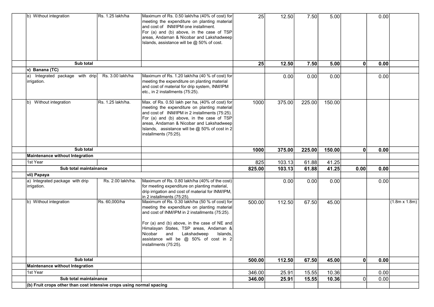| b) Without integration                                               | Rs. 1.25 lakh/ha  | Maximum of Rs. 0.50 lakh/ha (40% of cost) for<br>meeting the expenditure on planting material<br>and cost of INM/IPM one installment.<br>For (a) and (b) above, in the case of $TSP$<br>areas, Andaman & Nicobar and Lakshadweep<br>Islands, assistance will be @ 50% of cost.                                                                            | 25     | 12.50  | 7.50   | 5.00   |                | 0.00 |               |
|----------------------------------------------------------------------|-------------------|-----------------------------------------------------------------------------------------------------------------------------------------------------------------------------------------------------------------------------------------------------------------------------------------------------------------------------------------------------------|--------|--------|--------|--------|----------------|------|---------------|
| Sub total                                                            |                   |                                                                                                                                                                                                                                                                                                                                                           | 25     | 12.50  | 7.50   | 5.00   | $\mathbf{0}$   | 0.00 |               |
| v) Banana (TC)                                                       |                   |                                                                                                                                                                                                                                                                                                                                                           |        |        |        |        |                |      |               |
| Integrated package with drip<br>a)<br>irrigation.                    | Rs. 3.00 lakh/ha  | Maximum of Rs. 1.20 lakh/ha (40 % of cost) for<br>meeting the expenditure on planting material<br>and cost of material for drip system, INM/IPM<br>etc., in 2 installments (75:25).                                                                                                                                                                       |        | 0.00   | 0.00   | 0.00   |                | 0.00 |               |
| b) Without integration                                               | Rs. 1.25 lakh/ha. | Max. of Rs. 0.50 lakh per ha, (40% of cost) for<br>meeting the expenditure on planting material<br>and cost of INM/IPM in 2 installments (75:25).<br>For (a) and (b) above, in the case of $TSP$<br>areas, Andaman & Nicobar and Lakshadweep<br>Islands, assistance will be $@$ 50% of cost in 2<br>installments (75:25).                                 | 1000   | 375.00 | 225.00 | 150.00 |                |      |               |
| Sub total                                                            |                   |                                                                                                                                                                                                                                                                                                                                                           | 1000   | 375.00 | 225.00 | 150.00 | $\mathbf{0}$   | 0.00 |               |
| Maintenance without Integration                                      |                   |                                                                                                                                                                                                                                                                                                                                                           |        |        |        |        |                |      |               |
| 1st Year                                                             |                   |                                                                                                                                                                                                                                                                                                                                                           | 825    | 103.13 | 61.88  | 41.25  |                |      |               |
| Sub total maintainance                                               |                   |                                                                                                                                                                                                                                                                                                                                                           | 825.00 | 103.13 | 61.88  | 41.25  | 0.00           | 0.00 |               |
| vii) Papaya                                                          |                   |                                                                                                                                                                                                                                                                                                                                                           |        |        |        |        |                |      |               |
| a) Integrated package with drip<br>irrigation.                       | Rs. 2.00 lakh/ha. | Maximum of Rs. 0.80 lakh/ha (40% of the cost)<br>for meeting expenditure on planting material,<br>drip irrigation and cost of material for INM/IPM,<br>in 2 installments (75:25).                                                                                                                                                                         |        | 0.00   | 0.00   | 0.00   |                | 0.00 |               |
| b) Without integration                                               | Rs. 60,000/ha     | Maximum of Rs. 0.30 lakh/ha (50 % of cost) for<br>meeting the expenditure on planting material<br>and cost of INM/IPM in 2 installments (75:25).<br>For (a) and (b) above, in the case of NE and<br>Himalayan States, TSP areas, Andaman &<br>Nicobar<br>and<br>Lakshadweep<br>Islands,<br>assistance will be @ 50% of cost in 2<br>installments (75:25). | 500.00 | 112.50 | 67.50  | 45.00  |                |      | (1.8m x 1.8m) |
| Sub total                                                            |                   |                                                                                                                                                                                                                                                                                                                                                           | 500.00 | 112.50 | 67.50  | 45.00  | 0              | 0.00 |               |
| Maintenance without Integration                                      |                   |                                                                                                                                                                                                                                                                                                                                                           |        |        |        |        |                |      |               |
| 1st Year                                                             |                   |                                                                                                                                                                                                                                                                                                                                                           | 346.00 | 25.91  | 15.55  | 10.36  |                | 0.00 |               |
| Sub total maintainance                                               |                   |                                                                                                                                                                                                                                                                                                                                                           | 346.00 | 25.91  | 15.55  | 10.36  | $\overline{0}$ | 0.00 |               |
| (b) Fruit crops other than cost intensive crops using normal spacing |                   |                                                                                                                                                                                                                                                                                                                                                           |        |        |        |        |                |      |               |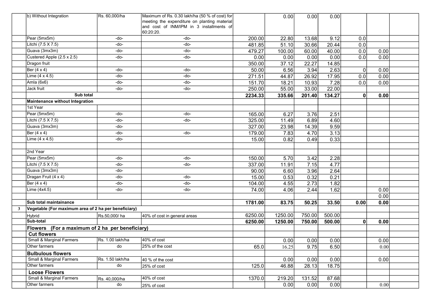|                                     |                                                                                                                                                                                                                                                                  | Maximum of Rs. 0.30 lakh/ha (50 % of cost) for                                                                                                                         |                                                                                                                                                                                                                                                                                             | 0.00                                                                                                                           | 0.00                                                                                                                                                     |                                                                                                                          |                                                                                                                                                                  |                                                                  |                                                      |
|-------------------------------------|------------------------------------------------------------------------------------------------------------------------------------------------------------------------------------------------------------------------------------------------------------------|------------------------------------------------------------------------------------------------------------------------------------------------------------------------|---------------------------------------------------------------------------------------------------------------------------------------------------------------------------------------------------------------------------------------------------------------------------------------------|--------------------------------------------------------------------------------------------------------------------------------|----------------------------------------------------------------------------------------------------------------------------------------------------------|--------------------------------------------------------------------------------------------------------------------------|------------------------------------------------------------------------------------------------------------------------------------------------------------------|------------------------------------------------------------------|------------------------------------------------------|
|                                     |                                                                                                                                                                                                                                                                  |                                                                                                                                                                        |                                                                                                                                                                                                                                                                                             |                                                                                                                                |                                                                                                                                                          |                                                                                                                          |                                                                                                                                                                  |                                                                  |                                                      |
|                                     |                                                                                                                                                                                                                                                                  |                                                                                                                                                                        |                                                                                                                                                                                                                                                                                             |                                                                                                                                |                                                                                                                                                          |                                                                                                                          |                                                                                                                                                                  |                                                                  |                                                      |
|                                     |                                                                                                                                                                                                                                                                  |                                                                                                                                                                        |                                                                                                                                                                                                                                                                                             |                                                                                                                                |                                                                                                                                                          |                                                                                                                          |                                                                                                                                                                  |                                                                  |                                                      |
|                                     |                                                                                                                                                                                                                                                                  |                                                                                                                                                                        |                                                                                                                                                                                                                                                                                             |                                                                                                                                |                                                                                                                                                          |                                                                                                                          |                                                                                                                                                                  |                                                                  |                                                      |
|                                     |                                                                                                                                                                                                                                                                  |                                                                                                                                                                        |                                                                                                                                                                                                                                                                                             |                                                                                                                                |                                                                                                                                                          |                                                                                                                          |                                                                                                                                                                  |                                                                  |                                                      |
|                                     |                                                                                                                                                                                                                                                                  |                                                                                                                                                                        |                                                                                                                                                                                                                                                                                             |                                                                                                                                |                                                                                                                                                          |                                                                                                                          |                                                                                                                                                                  |                                                                  |                                                      |
|                                     |                                                                                                                                                                                                                                                                  |                                                                                                                                                                        |                                                                                                                                                                                                                                                                                             |                                                                                                                                |                                                                                                                                                          |                                                                                                                          |                                                                                                                                                                  |                                                                  |                                                      |
|                                     |                                                                                                                                                                                                                                                                  |                                                                                                                                                                        |                                                                                                                                                                                                                                                                                             |                                                                                                                                |                                                                                                                                                          |                                                                                                                          |                                                                                                                                                                  |                                                                  |                                                      |
|                                     |                                                                                                                                                                                                                                                                  |                                                                                                                                                                        |                                                                                                                                                                                                                                                                                             |                                                                                                                                |                                                                                                                                                          |                                                                                                                          |                                                                                                                                                                  |                                                                  |                                                      |
|                                     |                                                                                                                                                                                                                                                                  |                                                                                                                                                                        |                                                                                                                                                                                                                                                                                             |                                                                                                                                |                                                                                                                                                          |                                                                                                                          |                                                                                                                                                                  |                                                                  |                                                      |
|                                     |                                                                                                                                                                                                                                                                  |                                                                                                                                                                        |                                                                                                                                                                                                                                                                                             |                                                                                                                                |                                                                                                                                                          |                                                                                                                          |                                                                                                                                                                  |                                                                  |                                                      |
|                                     |                                                                                                                                                                                                                                                                  |                                                                                                                                                                        |                                                                                                                                                                                                                                                                                             |                                                                                                                                |                                                                                                                                                          |                                                                                                                          |                                                                                                                                                                  |                                                                  |                                                      |
|                                     |                                                                                                                                                                                                                                                                  |                                                                                                                                                                        |                                                                                                                                                                                                                                                                                             |                                                                                                                                |                                                                                                                                                          |                                                                                                                          |                                                                                                                                                                  | 0.00                                                             |                                                      |
|                                     |                                                                                                                                                                                                                                                                  |                                                                                                                                                                        |                                                                                                                                                                                                                                                                                             |                                                                                                                                |                                                                                                                                                          |                                                                                                                          |                                                                                                                                                                  |                                                                  |                                                      |
| 1st Year                            |                                                                                                                                                                                                                                                                  |                                                                                                                                                                        |                                                                                                                                                                                                                                                                                             |                                                                                                                                |                                                                                                                                                          |                                                                                                                          |                                                                                                                                                                  |                                                                  |                                                      |
| Pear (5mx5m)                        | -do-                                                                                                                                                                                                                                                             | -do-                                                                                                                                                                   | 165.00                                                                                                                                                                                                                                                                                      | 6.27                                                                                                                           | 3.76                                                                                                                                                     | 2.51                                                                                                                     |                                                                                                                                                                  |                                                                  |                                                      |
| Litchi (7.5 X 7.5)                  | -do-                                                                                                                                                                                                                                                             | -do-                                                                                                                                                                   | 325.00                                                                                                                                                                                                                                                                                      | 11.49                                                                                                                          | 6.89                                                                                                                                                     | 4.60                                                                                                                     |                                                                                                                                                                  |                                                                  |                                                      |
| Guava (3mx3m)                       | -do-                                                                                                                                                                                                                                                             |                                                                                                                                                                        | 327.00                                                                                                                                                                                                                                                                                      | 23.98                                                                                                                          | 14.39                                                                                                                                                    | 9.59                                                                                                                     |                                                                                                                                                                  |                                                                  |                                                      |
| Ber $(4 \times 4)$                  | -do-                                                                                                                                                                                                                                                             | -do-                                                                                                                                                                   | 179.00                                                                                                                                                                                                                                                                                      | 7.83                                                                                                                           | 4.70                                                                                                                                                     | 3.13                                                                                                                     |                                                                                                                                                                  |                                                                  |                                                      |
| Lime $(4 \times 4.5)$               | -do-                                                                                                                                                                                                                                                             |                                                                                                                                                                        | 15.00                                                                                                                                                                                                                                                                                       | 0.82                                                                                                                           | 0.49                                                                                                                                                     | 0.33                                                                                                                     |                                                                                                                                                                  |                                                                  |                                                      |
|                                     |                                                                                                                                                                                                                                                                  |                                                                                                                                                                        |                                                                                                                                                                                                                                                                                             |                                                                                                                                |                                                                                                                                                          |                                                                                                                          |                                                                                                                                                                  |                                                                  |                                                      |
| 2nd Year                            |                                                                                                                                                                                                                                                                  |                                                                                                                                                                        |                                                                                                                                                                                                                                                                                             |                                                                                                                                |                                                                                                                                                          |                                                                                                                          |                                                                                                                                                                  |                                                                  |                                                      |
| Pear (5mx5m)                        | -do-                                                                                                                                                                                                                                                             | -do-                                                                                                                                                                   | 150.00                                                                                                                                                                                                                                                                                      | 5.70                                                                                                                           | 3.42                                                                                                                                                     | 2.28                                                                                                                     |                                                                                                                                                                  |                                                                  |                                                      |
| Litchi (7.5 X 7.5)                  | -do-                                                                                                                                                                                                                                                             | -do-                                                                                                                                                                   | 337.00                                                                                                                                                                                                                                                                                      |                                                                                                                                | 7.15                                                                                                                                                     | 4.77                                                                                                                     |                                                                                                                                                                  |                                                                  |                                                      |
| Guava (3mx3m)                       | -do-                                                                                                                                                                                                                                                             |                                                                                                                                                                        | 90.00                                                                                                                                                                                                                                                                                       | 6.60                                                                                                                           | 3.96                                                                                                                                                     | 2.64                                                                                                                     |                                                                                                                                                                  |                                                                  |                                                      |
| Dragan Fruit (4 x 4)                | -do-                                                                                                                                                                                                                                                             | -do-                                                                                                                                                                   | 15.00                                                                                                                                                                                                                                                                                       | 0.53                                                                                                                           | 0.32                                                                                                                                                     | 0.21                                                                                                                     |                                                                                                                                                                  |                                                                  |                                                      |
| Ber (4 x 4)                         | -do-                                                                                                                                                                                                                                                             | -do-                                                                                                                                                                   |                                                                                                                                                                                                                                                                                             |                                                                                                                                |                                                                                                                                                          |                                                                                                                          |                                                                                                                                                                  |                                                                  |                                                      |
| Lime (4x4.5)                        | -do-                                                                                                                                                                                                                                                             | -do-                                                                                                                                                                   | 74.00                                                                                                                                                                                                                                                                                       | 4.06                                                                                                                           | 2.44                                                                                                                                                     | 1.62                                                                                                                     |                                                                                                                                                                  | 0.00                                                             |                                                      |
|                                     |                                                                                                                                                                                                                                                                  |                                                                                                                                                                        |                                                                                                                                                                                                                                                                                             |                                                                                                                                |                                                                                                                                                          |                                                                                                                          |                                                                                                                                                                  | 0.00                                                             |                                                      |
| Sub total maintainance              |                                                                                                                                                                                                                                                                  |                                                                                                                                                                        |                                                                                                                                                                                                                                                                                             |                                                                                                                                |                                                                                                                                                          |                                                                                                                          |                                                                                                                                                                  |                                                                  |                                                      |
|                                     |                                                                                                                                                                                                                                                                  |                                                                                                                                                                        |                                                                                                                                                                                                                                                                                             |                                                                                                                                |                                                                                                                                                          |                                                                                                                          |                                                                                                                                                                  |                                                                  |                                                      |
|                                     |                                                                                                                                                                                                                                                                  |                                                                                                                                                                        |                                                                                                                                                                                                                                                                                             |                                                                                                                                | 750.00                                                                                                                                                   |                                                                                                                          |                                                                                                                                                                  |                                                                  |                                                      |
| Sub-total                           |                                                                                                                                                                                                                                                                  |                                                                                                                                                                        | 6250.00                                                                                                                                                                                                                                                                                     |                                                                                                                                |                                                                                                                                                          | 500.00                                                                                                                   | 0                                                                                                                                                                | 0.00                                                             |                                                      |
|                                     |                                                                                                                                                                                                                                                                  |                                                                                                                                                                        |                                                                                                                                                                                                                                                                                             |                                                                                                                                |                                                                                                                                                          |                                                                                                                          |                                                                                                                                                                  |                                                                  |                                                      |
| <b>Cut flowers</b>                  |                                                                                                                                                                                                                                                                  |                                                                                                                                                                        |                                                                                                                                                                                                                                                                                             |                                                                                                                                |                                                                                                                                                          |                                                                                                                          |                                                                                                                                                                  |                                                                  |                                                      |
| <b>Small &amp; Marginal Farmers</b> | Rs. 1.00 lakh/ha                                                                                                                                                                                                                                                 | 40% of cost                                                                                                                                                            |                                                                                                                                                                                                                                                                                             | 0.00                                                                                                                           | 0.00                                                                                                                                                     |                                                                                                                          |                                                                                                                                                                  | 0.00                                                             |                                                      |
| Other farmers                       | do                                                                                                                                                                                                                                                               | 25% of the cost                                                                                                                                                        | 65.0                                                                                                                                                                                                                                                                                        | 16.25                                                                                                                          | 9.75                                                                                                                                                     |                                                                                                                          |                                                                                                                                                                  | 0.00                                                             |                                                      |
| <b>Bulbulous flowers</b>            |                                                                                                                                                                                                                                                                  |                                                                                                                                                                        |                                                                                                                                                                                                                                                                                             |                                                                                                                                |                                                                                                                                                          |                                                                                                                          |                                                                                                                                                                  |                                                                  |                                                      |
| Small & Marginal Farmers            | Rs. 1.50 lakh/ha                                                                                                                                                                                                                                                 |                                                                                                                                                                        |                                                                                                                                                                                                                                                                                             |                                                                                                                                |                                                                                                                                                          |                                                                                                                          |                                                                                                                                                                  | 0.00                                                             |                                                      |
| Other farmers                       | do                                                                                                                                                                                                                                                               | 25% of cost                                                                                                                                                            | 125.0                                                                                                                                                                                                                                                                                       | 46.88                                                                                                                          | 28.13                                                                                                                                                    |                                                                                                                          |                                                                                                                                                                  |                                                                  |                                                      |
| <b>Loose Flowers</b>                |                                                                                                                                                                                                                                                                  |                                                                                                                                                                        |                                                                                                                                                                                                                                                                                             |                                                                                                                                |                                                                                                                                                          |                                                                                                                          |                                                                                                                                                                  |                                                                  |                                                      |
| <b>Small &amp; Marginal Farmers</b> |                                                                                                                                                                                                                                                                  | $40\%$ of $cost$                                                                                                                                                       | 1370.0                                                                                                                                                                                                                                                                                      |                                                                                                                                | 131.52                                                                                                                                                   |                                                                                                                          |                                                                                                                                                                  |                                                                  |                                                      |
| Other farmers                       | do                                                                                                                                                                                                                                                               |                                                                                                                                                                        |                                                                                                                                                                                                                                                                                             | 0.00                                                                                                                           | 0.00                                                                                                                                                     |                                                                                                                          |                                                                                                                                                                  |                                                                  |                                                      |
|                                     | b) Without Integration<br>Pear (5mx5m)<br>Litchi (7.5 X 7.5)<br>Guava (3mx3m)<br>Custered Apple (2.5 x 2.5)<br>Dragon fruit<br>Ber $(4 \times 4)$<br>Lime $(4 \times 4.5)$<br>Amla (6x6)<br>Jack fruit<br>Sub total<br>Maintenance without Integration<br>Hybrid | Rs. 60,000/ha<br>-do-<br>-do-<br>-do-<br>-do-<br>-do-<br>-do-<br>-do-<br>-do-<br>Vegetable (For maximum area of 2 ha per beneficiary)<br>Rs.50,000/ha<br>Rs. 40,000/ha | meeting the expenditure on planting material<br>and cost of INM/IPM in 3 installments of<br>60:20:20.<br>-do-<br>-do-<br>-do-<br>-do-<br>-do-<br>-do-<br>-do-<br>-do-<br>40% of cost in general areas<br>Flowers (For a maximum of 2 ha per beneficiary)<br>40 % of the cost<br>25% of cost | 200.00<br>481.85<br>479.27<br>0.00<br>350.00<br>50.00<br>271.51<br>151.70<br>250.00<br>2234.33<br>104.00<br>1781.00<br>6250.00 | 22.80<br>51.10<br>100.00<br>0.00<br>37.12<br>6.56<br>44.87<br>18.21<br>55.00<br>335.66<br>11.91<br>4.55<br>83.75<br>1250.00<br>1250.00<br>0.00<br>219.20 | 13.68<br>30.66<br>60.00<br>0.00<br>22.27<br>3.94<br>26.92<br>10.93<br>33.00<br>201.40<br>2.73<br>50.25<br>750.00<br>0.00 | 0.00<br>9.12<br>20.44<br>40.00<br>0.00<br>14.85<br>2.63<br>17.95<br>7.28<br>22.00<br>134.27<br>1.82<br>33.50<br>500.00<br>0.00<br>6.50<br>0.00<br>18.75<br>87.68 | 0.0<br>0.0<br>0.0<br>0.0<br>0<br>0.0<br>0.0<br>0<br>0.00<br>0.00 | 0.00<br>0.00<br>0.00<br>0.00<br>0.00<br>0.00<br>0.00 |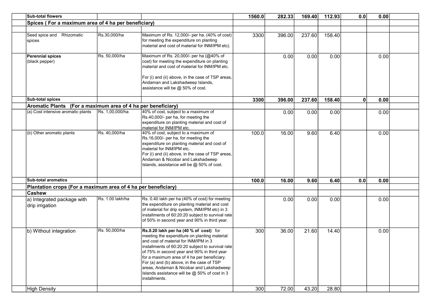| Sub-total flowers                                             |                  |                                                                                                                                                                                                                                                                                                                                                                                                                                               | 1560.0 | 282.33 | 169.40 | 112.93 | 0.0       | 0.00 |  |
|---------------------------------------------------------------|------------------|-----------------------------------------------------------------------------------------------------------------------------------------------------------------------------------------------------------------------------------------------------------------------------------------------------------------------------------------------------------------------------------------------------------------------------------------------|--------|--------|--------|--------|-----------|------|--|
| Spices (For a maximum area of 4 ha per beneficiary)           |                  |                                                                                                                                                                                                                                                                                                                                                                                                                                               |        |        |        |        |           |      |  |
|                                                               |                  |                                                                                                                                                                                                                                                                                                                                                                                                                                               |        |        |        |        |           |      |  |
| Seed spice and Rhizomatic<br>spices                           | Rs.30,000/ha     | Maximum of Rs. 12,000/- per ha. (40% of cost)<br>for meeting the expenditure on planting<br>material and cost of material for INM/IPM etc).                                                                                                                                                                                                                                                                                                   | 3300   | 396.00 | 237.60 | 158.40 |           |      |  |
| Perennial spices<br>(black pepper)                            | Rs. 50,000/ha    | Maximum of Rs. 20,000/- per ha (@40% of<br>cost) for meeting the expenditure on planting<br>material and cost of material for INM/IPM etc.<br>For (i) and (ii) above, in the case of TSP areas,<br>Andaman and Lakshadweep Islands,<br>assistance will be @ 50% of cost.                                                                                                                                                                      |        | 0.00   | 0.00   | 0.00   |           | 0.00 |  |
| Sub-total spices                                              |                  |                                                                                                                                                                                                                                                                                                                                                                                                                                               |        | 396.00 | 237.60 | 158.40 | $\pmb{0}$ |      |  |
| Aromatic Plants (For a maximum area of 4 ha per beneficiary)  |                  |                                                                                                                                                                                                                                                                                                                                                                                                                                               | 3300   |        |        |        |           | 0.00 |  |
| (a) Cost intensive aromatic plants                            | Rs. 1,00,000/ha  | 40% of cost, subject to a maximum of<br>Rs.40,000/- per ha, for meeting the<br>expenditure on planting material and cost of<br>material for INM/IPM etc.                                                                                                                                                                                                                                                                                      |        | 0.00   | 0.00   | 0.00   |           | 0.00 |  |
| (b) Other aromatic plants                                     | Rs. 40,000/ha    | 40% of cost, subject to a maximum of<br>Rs.16,000/- per ha, for meeting the<br>expenditure on planting material and cost of<br>material for INM/IPM etc.<br>For (i) and (ii) above, in the case of TSP areas,<br>Andaman & Nicobar and Lakshadweep<br>Islands, assistance will be @ 50% of cost.                                                                                                                                              | 100.0  | 16.00  | 9.60   | 6.40   |           | 0.00 |  |
| <b>Sub-total aromatics</b>                                    |                  |                                                                                                                                                                                                                                                                                                                                                                                                                                               | 100.0  | 16.00  | 9.60   | 6.40   | 0.0       | 0.00 |  |
| Plantation crops (For a maximum area of 4 ha per beneficiary) |                  |                                                                                                                                                                                                                                                                                                                                                                                                                                               |        |        |        |        |           |      |  |
| <b>Cashew</b>                                                 |                  |                                                                                                                                                                                                                                                                                                                                                                                                                                               |        |        |        |        |           |      |  |
| a) Integrated package with<br>drip irrigation                 | Rs. 1.00 lakh/ha | Rs. 0.40 lakh per ha (40% of cost) for meeting<br>the expenditure on planting material and cost<br>of material for drip system, INM/IPM etc) in 3<br>installments of 60:20:20 subject to survival rate<br>of 50% in second year and 90% in third year.                                                                                                                                                                                        |        | 0.00   | 0.00   | 0.00   |           | 0.00 |  |
| b) Without integration                                        | Rs. 50,000/ha    | Rs.0.20 lakh per ha (40 % of cost) for<br>meeting the expenditure on planting material<br>and cost of material for INM/IPM in 3<br>installments of 60:20:20 subject to survival rate<br>of 75% in second year and 90% in third year<br>for a maximum area of 4 ha per beneficiary.<br>For (a) and (b) above, in the case of TSP<br>areas, Andaman & Nicobar and Lakshadweep<br>Islands assistance will be @ 50% of cost in 3<br>installments. | 300    | 36.00  | 21.60  | 14.40  |           | 0.00 |  |
| High Density                                                  |                  |                                                                                                                                                                                                                                                                                                                                                                                                                                               | 300    | 72.00  | 43.20  | 28.80  |           |      |  |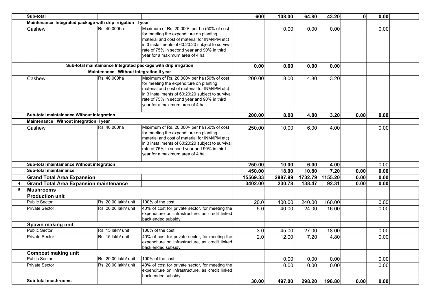|                | <b>Sub-total</b>                                           |                                         |                                                                                                                                                                                                                                                                                                           | 600      | 108.00  | 64.80  | 43.20           | 0    | 0.00 |  |
|----------------|------------------------------------------------------------|-----------------------------------------|-----------------------------------------------------------------------------------------------------------------------------------------------------------------------------------------------------------------------------------------------------------------------------------------------------------|----------|---------|--------|-----------------|------|------|--|
|                | Maintenance Integrated package with drip irrigation I year |                                         |                                                                                                                                                                                                                                                                                                           |          |         |        |                 |      |      |  |
|                | Cashew                                                     | Rs. 40,000ha                            | Maximum of Rs. 20,000/- per ha (50% of cost<br>for meeting the expenditure on planting<br>material and cost of material for INM/IPM etc)<br>$\left $ in 3 installments of 60:20:20 subject to survival $\left  \right.$<br>rate of 75% in second year and 90% in third<br>vear for a maximum area of 4 ha |          | 0.00    | 0.00   | 0.00            |      | 0.00 |  |
|                |                                                            |                                         | Sub-total maintainance Integrated package with drip irrigation                                                                                                                                                                                                                                            | 0.00     | 0.00    | 0.00   | 0.00            |      |      |  |
|                |                                                            | Maintenance Without integration II year |                                                                                                                                                                                                                                                                                                           |          |         |        |                 |      |      |  |
|                | Cashew                                                     | Rs. 40,000ha                            | Maximum of Rs. 20,000/- per ha (50% of cost<br>for meeting the expenditure on planting<br>material and cost of material for INM/IPM etc)<br>in 3 installments of 60:20:20 subject to survival<br>rate of 75% in second year and 90% in third<br>vear for a maximum area of 4 ha                           | 200.00   | 8.00    | 4.80   | 3.20            |      |      |  |
|                | Sub-total maintainance Without integration                 |                                         |                                                                                                                                                                                                                                                                                                           | 200.00   | 8.00    | 4.80   | 3.20            | 0.00 | 0.00 |  |
|                | Maintenance Without integration II year                    |                                         |                                                                                                                                                                                                                                                                                                           |          |         |        |                 |      |      |  |
|                | Cashew                                                     | Rs. 40,000ha                            | Maximum of Rs. 20,000/- per ha (50% of cost<br>for meeting the expenditure on planting<br>material and cost of material for INM/IPM etc)<br>in 3 installments of 60:20:20 subject to survival<br>rate of 75% in second year and 90% in third<br>Ivear for a maximum area of 4 hal                         | 250.00   | 10.00   | 6.00   | 4.00            |      | 0.00 |  |
|                | Sub-total maintainance Without integration                 |                                         |                                                                                                                                                                                                                                                                                                           | 250.00   | 10.00   | 6.00   | 4.00            |      | 0.00 |  |
|                | Sub-total maintainance                                     |                                         |                                                                                                                                                                                                                                                                                                           | 450.00   | 18.00   | 10.80  | 7.20            | 0.00 | 0.00 |  |
|                | <b>Grand Total Area Expansion</b>                          |                                         |                                                                                                                                                                                                                                                                                                           | 15569.33 | 2887.99 |        | 1732.79 1155.20 | 0.00 | 0.00 |  |
| $\overline{4}$ | <b>Grand Total Area Expansion maintenance</b>              |                                         |                                                                                                                                                                                                                                                                                                           | 3402.00  | 230.78  | 138.47 | 92.31           | 0.00 | 0.00 |  |
| 5              | Mushrooms                                                  |                                         |                                                                                                                                                                                                                                                                                                           |          |         |        |                 |      |      |  |
|                | <b>Production unit</b>                                     |                                         |                                                                                                                                                                                                                                                                                                           |          |         |        |                 |      |      |  |
|                | <b>Public Sector</b>                                       | Rs. 20.00 lakh/ unit                    | 100% of the cost.                                                                                                                                                                                                                                                                                         | 20.0     | 400.00  | 240.00 | 160.00          |      | 0.00 |  |
|                | <b>Private Sector</b>                                      | Rs. 20.00 lakh/ unit                    | 40% of cost for private sector, for meeting the<br>expenditure on infrastructure, as credit linked<br>back ended subsidy.                                                                                                                                                                                 | 5.0      | 40.00   | 24.00  | 16.00           |      | 0.00 |  |
|                | Spawn making unit                                          |                                         |                                                                                                                                                                                                                                                                                                           |          |         |        |                 |      |      |  |
|                | <b>Public Sector</b>                                       | Rs. 15 lakh/ unit                       | 100% of the cost.                                                                                                                                                                                                                                                                                         | 3.0      | 45.00   | 27.00  | 18.00           |      | 0.00 |  |
|                | <b>Private Sector</b>                                      | Rs. 15 lakh/ unit                       | 40% of cost for private sector, for meeting the<br>expenditure on infrastructure, as credit linked<br>back ended subsidy.                                                                                                                                                                                 | 2.0      | 12.00   | 7.20   | 4.80            |      | 0.00 |  |
|                | <b>Compost making unit</b>                                 |                                         |                                                                                                                                                                                                                                                                                                           |          |         |        |                 |      |      |  |
|                | <b>Public Sector</b>                                       | Rs. 20.00 lakh/ unit                    | 100% of the cost.                                                                                                                                                                                                                                                                                         |          | 0.00    | 0.00   | 0.00            |      | 0.00 |  |
|                | <b>Private Sector</b>                                      | Rs. 20.00 lakh/ unit                    | 40% of cost for private sector, for meeting the<br>expenditure on infrastructure, as credit linked<br>back ended subsidy.                                                                                                                                                                                 |          | 0.00    | 0.00   | 0.00            |      | 0.00 |  |
|                | <b>Sub-total mushrooms</b>                                 |                                         |                                                                                                                                                                                                                                                                                                           | 30.00    | 497.00  | 298.20 | 198.80          | 0.00 | 0.00 |  |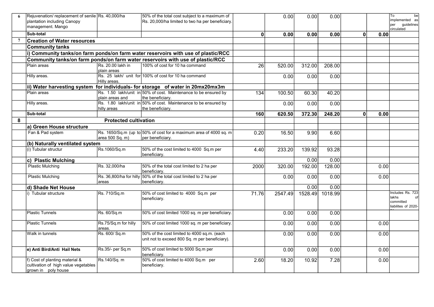| 6              | Rejuvenation/ replacement of senile Rs. 40,000/ha |                                | 50% of the total cost subject to a maximum of                                                 |                 | 0.00    | 0.00    | 0.00    |              |      | To<br>be                                                      |
|----------------|---------------------------------------------------|--------------------------------|-----------------------------------------------------------------------------------------------|-----------------|---------|---------|---------|--------------|------|---------------------------------------------------------------|
|                | plantation including Canopy                       |                                | Rs. 20,000/ha limited to two ha per beneficiary.                                              |                 |         |         |         |              |      | implemented as                                                |
|                | management. Mango                                 |                                |                                                                                               |                 |         |         |         |              |      | guidelines<br>per<br>circulated                               |
|                | Sub-total                                         |                                |                                                                                               | $\mathbf{0}$    | 0.00    | 0.00    | 0.00    | $\mathbf{0}$ | 0.00 |                                                               |
| $\overline{7}$ | <b>Creation of Water resources</b>                |                                |                                                                                               |                 |         |         |         |              |      |                                                               |
|                | <b>Community tanks</b>                            |                                |                                                                                               |                 |         |         |         |              |      |                                                               |
|                |                                                   |                                | $ i\rangle$ Community tanks/on farm ponds/on farm water reservoirs with use of plastic/RCC    |                 |         |         |         |              |      |                                                               |
|                |                                                   |                                | Community tanks/on farm ponds/on farm water reservoirs with use of plastic/RCC                |                 |         |         |         |              |      |                                                               |
|                | Plain areas                                       | Rs. 20.00 lakh in              | 100% of cost for 10 ha command                                                                | $\overline{26}$ | 520.00  | 312.00  | 208.00  |              |      |                                                               |
|                |                                                   | Iplain areas                   |                                                                                               |                 |         |         |         |              |      |                                                               |
|                | Hilly areas.                                      | Hilly areas.                   | Rs. 25 lakh/ unit for 100% of cost for 10 ha command                                          |                 | 0.00    | 0.00    | 0.00    |              |      |                                                               |
|                |                                                   |                                | ii) Water harvesting system for individuals- for storage of water in 20mx20mx3m               |                 |         |         |         |              |      |                                                               |
|                | Plain areas                                       |                                | Rs. 1.50 lakh/unit in 50% of cost. Maintenance to be ensured by                               | 134             | 100.50  | 60.30   | 40.20   |              |      |                                                               |
|                |                                                   | Iplain areas and               | the beneficiary.                                                                              |                 |         |         |         |              |      |                                                               |
|                | Hilly areas.                                      | hilly areas                    | Rs. 1.80 lakh/unit in 50% of cost. Maintenance to be ensured by<br>the beneficiary.           |                 | 0.00    | 0.00    | 0.00    |              |      |                                                               |
|                | Sub-total                                         |                                |                                                                                               | 160             | 620.50  | 372.30  | 248.20  | $\mathbf{0}$ | 0.00 |                                                               |
| 8              |                                                   | <b>Protected cultivation</b>   |                                                                                               |                 |         |         |         |              |      |                                                               |
|                | a) Green House structure                          |                                |                                                                                               |                 |         |         |         |              |      |                                                               |
|                | Fan & Pad system                                  |                                | Rs. 1650/Sq.m (up to 50% of cost for a maximum area of 4000 sq. m                             | 0.20            | 16.50   | 9.90    | 6.60    |              |      |                                                               |
|                |                                                   | area 500 Sq. m)                | per beneficiary.                                                                              |                 |         |         |         |              |      |                                                               |
|                | (b) Naturally ventilated system                   |                                |                                                                                               |                 |         |         |         |              |      |                                                               |
|                | (i) Tubular structur                              | Rs.1060/Sq.m                   | 50% of the cost limited to 4000 Sq.m per<br>beneficiary.                                      | 4.40            | 233.20  | 139.92  | 93.28   |              |      |                                                               |
|                | c) Plastic Mulching                               |                                |                                                                                               |                 |         | 0.00    | 0.00    |              |      |                                                               |
|                | <b>Plastic Mulching</b>                           | Rs. 32,000/ha                  | 50% of the total cost limited to 2 ha per<br>beneficiary.                                     | 2000            | 320.00  | 192.00  | 128.00  |              | 0.00 |                                                               |
|                | <b>Plastic Mulching</b>                           |                                | Rs. 36,800/ha for hilly 50% of the total cost limited to 2 ha per                             |                 | 0.00    | 0.00    | 0.00    |              | 0.00 |                                                               |
|                |                                                   | lareas                         | beneficiarv.                                                                                  |                 |         |         |         |              |      |                                                               |
|                | d) Shade Net House                                |                                |                                                                                               |                 |         | 0.00    | 0.00    |              |      |                                                               |
|                | i) Tubular structure                              | Rs. 710/Sq.m                   | 50% of cost limited to 4000 Sq.m per<br>beneficiary.                                          | 71.76           | 2547.49 | 1528.49 | 1018.99 |              |      | Includes Rs. 723<br>lakhs<br>committed<br>liabilites of 2020- |
|                | <b>Plastic Tunnels</b>                            | Rs. 60/Sq.m                    | 50% of cost limited 1000 sq. m per beneficiary.                                               |                 | 0.00    | 0.00    | 0.00    |              |      |                                                               |
|                | <b>Plastic Tunnels</b>                            | Rs.75/Sq.m for hilly<br>areas. | 50% of cost limited 1000 sq. m per beneficiary.                                               |                 | 0.00    | 0.00    | 0.00    |              | 0.00 |                                                               |
|                | Walk in tunnels                                   | Rs. 600/ Sq.m                  | 50% of the cost limited to 4000 sq.m. (each<br>unit not to exceed 800 Sq. m per beneficiary). |                 | 0.00    | 0.00    | 0.00    |              | 0.00 |                                                               |
|                | e) Anti Bird/Anti Hail Nets                       | Rs.35/- per Sq.m               | 50% of cost limited to 5000 Sq.m per<br>beneficiarv.                                          |                 | 0.00    | 0.00    | 0.00    |              | 0.00 |                                                               |
|                | f) Cost of planting material &                    | Rs.140/Sq. m                   | 50% of cost limited to 4000 Sq.m per                                                          | 2.60            | 18.20   | 10.92   | 7.28    |              | 0.00 |                                                               |
|                | cultivation of high value vegetables              |                                | beneficiary.                                                                                  |                 |         |         |         |              |      |                                                               |
|                | grown in poly house                               |                                |                                                                                               |                 |         |         |         |              |      |                                                               |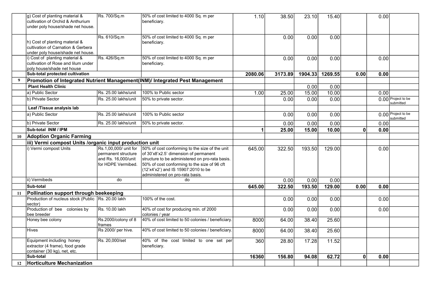|    | g) Cost of planting material &                                         | Rs. 700/Sq.m          | 50% of cost limited to 4000 Sq. m per                                        | 1.10    | 38.50   | 23.10   | 15.40   |              | 0.00 |                                 |
|----|------------------------------------------------------------------------|-----------------------|------------------------------------------------------------------------------|---------|---------|---------|---------|--------------|------|---------------------------------|
|    | cultivation of Orchid & Anthurium<br>under poly house/shade net house. |                       | beneficiary.                                                                 |         |         |         |         |              |      |                                 |
|    |                                                                        |                       |                                                                              |         |         |         |         |              |      |                                 |
|    |                                                                        | Rs. 610/Sq.m          | 50% of cost limited to 4000 Sq. m per                                        |         | 0.00    | 0.00    | 0.00    |              |      |                                 |
|    | h) Cost of planting material &                                         |                       | beneficiary.                                                                 |         |         |         |         |              |      |                                 |
|    | cultivation of Carnation & Gerbera                                     |                       |                                                                              |         |         |         |         |              |      |                                 |
|    | under poly house/shade net house.                                      |                       |                                                                              |         |         |         |         |              |      |                                 |
|    | i) Cost of planting material &                                         | Rs. 426/Sq.m          | 50% of cost limited to 4000 Sq. m per                                        |         | 0.00    | 0.00    | 0.00    |              | 0.00 |                                 |
|    | cultivation of Rose and lilum under                                    |                       | beneficiary.                                                                 |         |         |         |         |              |      |                                 |
|    | poly house/shade net house                                             |                       |                                                                              |         |         |         |         |              |      |                                 |
|    | Sub-total protected cultivation                                        |                       |                                                                              | 2080.06 | 3173.89 | 1904.33 | 1269.55 | 0.00         | 0.00 |                                 |
| 9  |                                                                        |                       | Promotion of Integrated Nutrient Management(INM)/ Integrated Pest Management |         |         |         |         |              |      |                                 |
|    | <b>Plant Health Clinic</b>                                             |                       |                                                                              |         |         | 0.00    | 0.00    |              |      |                                 |
|    | a) Public Sector                                                       | Rs. 25.00 lakhs/unit  | 100% to Public sector                                                        | 1.00    | 25.00   | 15.00   | 10.00   |              | 0.00 |                                 |
|    | b) Private Sector                                                      | Rs. 25.00 lakhs/unit  | 50% to private sector.                                                       |         | 0.00    | 0.00    | 0.00    |              |      | 0.00 Project to be              |
|    |                                                                        |                       |                                                                              |         |         |         |         |              |      | submitted                       |
|    | Leaf /Tissue analysis lab                                              |                       |                                                                              |         |         |         |         |              |      |                                 |
|    | a) Public Sector                                                       | Rs. 25.00 lakhs/unit  | 100% to Public sector                                                        |         | 0.00    | 0.00    | 0.00    |              |      | 0.00 Project to be<br>submitted |
|    | b) Private Sector                                                      | Rs. 25.00 lakhs/unit  | 50% to private sector.                                                       |         | 0.00    | 0.00    | 0.00    |              | 0.00 |                                 |
|    | Sub-total INM / IPM                                                    |                       |                                                                              | 1       | 25.00   | 15.00   | 10.00   | $\mathbf{0}$ | 0.00 |                                 |
| 10 | <b>Adoption Organic Farming</b>                                        |                       |                                                                              |         |         |         |         |              |      |                                 |
|    | iii) Vermi compost Units /organic input production unit                |                       |                                                                              |         |         |         |         |              |      |                                 |
|    | i) Vermi compost Units                                                 | Rs.1,00,000/ unit for | 50% of cost conforming to the size of the unit                               | 645.00  | 322.50  | 193.50  | 129.00  |              | 0.00 |                                 |
|    |                                                                        | Ipermanent structure  | of 30'x8'x2.5' dimension of permanent                                        |         |         |         |         |              |      |                                 |
|    |                                                                        | and Rs. 16,000/unit   | structure to be administered on pro-rata basis.                              |         |         |         |         |              |      |                                 |
|    |                                                                        | for HDPE Vermibed.    | 50% of cost conforming to the size of 96 cft                                 |         |         |         |         |              |      |                                 |
|    |                                                                        |                       | (12'x4'x2') and IS 15907:2010 to be                                          |         |         |         |         |              |      |                                 |
|    |                                                                        |                       | administered on pro-rata basis.                                              |         |         |         |         |              |      |                                 |
|    | ii) Vermibeds                                                          | do                    | do                                                                           |         | 0.00    | 0.00    | 0.00    |              |      |                                 |
|    | <b>Sub-total</b>                                                       |                       |                                                                              | 645.00  | 322.50  | 193.50  | 129.00  | 0.00         | 0.00 |                                 |
| 11 | Pollination support through beekeeping                                 |                       |                                                                              |         |         |         |         |              |      |                                 |
|    | Production of nucleus stock (Public   Rs. 20.00 lakh                   |                       | 100% of the cost.                                                            |         | 0.00    | 0.00    | 0.00    |              | 0.00 |                                 |
|    | sector)                                                                |                       |                                                                              |         |         |         |         |              |      |                                 |
|    | Production of bee colonies by<br>bee breeder                           | IRs. 10.00 lakh       | 40% of cost for producing min. of 2000<br>colonies / year                    |         | 0.00    | 0.00    | 0.00    |              | 0.00 |                                 |
|    | Honey bee colony                                                       | Rs.2000/colony of 8   | 40% of cost limited to 50 colonies / beneficiary.                            | 8000    | 64.00   | 38.40   | 25.60   |              |      |                                 |
|    |                                                                        | frames                |                                                                              |         |         |         |         |              |      |                                 |
|    | <b>Hives</b>                                                           | Rs 2000/ per hive.    | 40% of cost limited to 50 colonies / beneficiary.                            | 8000    | 64.00   | 38.40   | 25.60   |              |      |                                 |
|    | Equipment including honey                                              | Rs. 20,000/set        | 40% of the cost limited to one set per                                       | 360     | 28.80   | 17.28   | 11.52   |              |      |                                 |
|    | extractor (4 frame), food grade                                        |                       | beneficiary.                                                                 |         |         |         |         |              |      |                                 |
|    | container (30 kg), net, etc.                                           |                       |                                                                              |         |         |         |         |              |      |                                 |
|    | <b>Sub-total</b>                                                       |                       |                                                                              | 16360   | 156.80  | 94.08   | 62.72   | 0            | 0.00 |                                 |
| 12 | Horticulture Mechanization                                             |                       |                                                                              |         |         |         |         |              |      |                                 |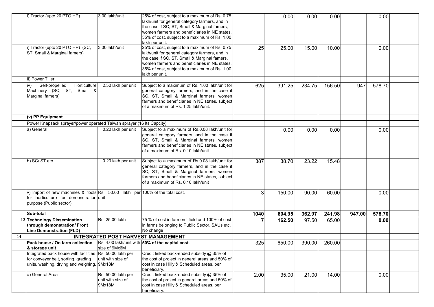|    | i) Tractor (upto 20 PTO HP)                                                                                              | 3.00 lakh/unit     | 25% of cost, subject to a maximum of Rs. 0.75   |      | 0.00   | 0.00   | 0.00   |        | 0.00   |  |
|----|--------------------------------------------------------------------------------------------------------------------------|--------------------|-------------------------------------------------|------|--------|--------|--------|--------|--------|--|
|    |                                                                                                                          |                    | lakh/unit for general category farmers, and in  |      |        |        |        |        |        |  |
|    |                                                                                                                          |                    | the case if SC, ST, Small & Marginal famers,    |      |        |        |        |        |        |  |
|    |                                                                                                                          |                    | women farmers and beneficiaries in NE states.   |      |        |        |        |        |        |  |
|    |                                                                                                                          |                    | 35% of cost, subject to a maximum of Rs. 1.00   |      |        |        |        |        |        |  |
|    |                                                                                                                          |                    | lakh per unit.                                  |      |        |        |        |        |        |  |
|    | i) Tractor (upto 20 PTO HP) (SC,                                                                                         | 3.00 lakh/unit     | 25% of cost, subject to a maximum of Rs. 0.75   | 25   | 25.00  | 15.00  | 10.00  |        | 0.00   |  |
|    | ST, Small & Marginal famers)                                                                                             |                    | lakh/unit for general category farmers, and in  |      |        |        |        |        |        |  |
|    |                                                                                                                          |                    | the case if SC, ST, Small & Marginal famers,    |      |        |        |        |        |        |  |
|    |                                                                                                                          |                    | women farmers and beneficiaries in NE states.   |      |        |        |        |        |        |  |
|    |                                                                                                                          |                    | 35% of cost, subject to a maximum of Rs. 1.00   |      |        |        |        |        |        |  |
|    |                                                                                                                          |                    | lakh per unit.                                  |      |        |        |        |        |        |  |
|    | ii) Power Tiller                                                                                                         |                    |                                                 |      |        |        |        |        |        |  |
|    | Self-propelled<br>Horticulture<br>iv)                                                                                    | 2.50 lakh per unit | Subject to a maximum of Rs. 1.00 lakh/unit for  | 625  | 391.25 | 234.75 | 156.50 | 947    | 578.70 |  |
|    | Machinery (SC, ST, Small &                                                                                               |                    | general category farmers, and in the case if    |      |        |        |        |        |        |  |
|    | Marginal famers)                                                                                                         |                    | SC, ST, Small & Marginal farmers, women         |      |        |        |        |        |        |  |
|    |                                                                                                                          |                    | farmers and beneficiaries in NE states, subject |      |        |        |        |        |        |  |
|    |                                                                                                                          |                    | of a maximum of Rs. 1.25 lakh/unit.             |      |        |        |        |        |        |  |
|    | (v) PP Equipment                                                                                                         |                    |                                                 |      |        |        |        |        |        |  |
|    | Power Knapsack sprayer/power operated Taiwan sprayer (16 lts Capcity)                                                    |                    |                                                 |      |        |        |        |        |        |  |
|    | a) General                                                                                                               | 0.20 lakh per unit | Subject to a maximum of Rs.0.08 lakh/unit for   |      | 0.00   | 0.00   | 0.00   |        | 0.00   |  |
|    |                                                                                                                          |                    | general category farmers, and in the case if    |      |        |        |        |        |        |  |
|    |                                                                                                                          |                    | SC, ST, Small & Marginal farmers, women         |      |        |        |        |        |        |  |
|    |                                                                                                                          |                    | farmers and beneficiaries in NE states, subject |      |        |        |        |        |        |  |
|    |                                                                                                                          |                    | of a maximum of Rs. 0.10 lakh/unit              |      |        |        |        |        |        |  |
|    |                                                                                                                          |                    |                                                 |      |        |        |        |        |        |  |
|    | b) SC/ST etc                                                                                                             | 0.20 lakh per unit | Subject to a maximum of Rs.0.08 lakh/unit for   | 387  | 38.70  | 23.22  | 15.48  |        |        |  |
|    |                                                                                                                          |                    | general category farmers, and in the case if    |      |        |        |        |        |        |  |
|    |                                                                                                                          |                    | SC, ST, Small & Marginal farmers, women         |      |        |        |        |        |        |  |
|    |                                                                                                                          |                    | farmers and beneficiaries in NE states, subject |      |        |        |        |        |        |  |
|    |                                                                                                                          |                    | of a maximum of Rs. 0.10 lakh/unit              |      |        |        |        |        |        |  |
|    | v) Import of new machines & tools Rs. 50.00 lakh per 100% of the total cost.                                             |                    |                                                 | 3    | 150.00 | 90.00  | 60.00  |        | 0.00   |  |
|    | for horticulture for demonstration unit                                                                                  |                    |                                                 |      |        |        |        |        |        |  |
|    | purpose (Public sector)                                                                                                  |                    |                                                 |      |        |        |        |        |        |  |
|    |                                                                                                                          |                    |                                                 |      |        |        |        |        |        |  |
|    | Sub-total                                                                                                                |                    |                                                 | 1040 | 604.95 | 362.97 | 241.98 | 947.00 | 578.70 |  |
|    | 13 Technology Dissemination                                                                                              | Rs. 25.00 lakh     | 75 % of cost in farmers' field and 100% of cost |      | 162.50 | 97.50  | 65.00  |        | 0.00   |  |
|    | through demonstration/ Front                                                                                             |                    | in farms belonging to Public Sector, SAUs etc.  |      |        |        |        |        |        |  |
|    | <b>Line Demonstration (FLD)</b>                                                                                          |                    | No change                                       |      |        |        |        |        |        |  |
| 14 |                                                                                                                          |                    | <b>INTEGRATED POST HARVEST MANAGEMENT</b>       |      |        |        |        |        |        |  |
|    | <b>Pack house / On farm collection</b> $\left  \text{Rs. } 4.00 \text{ lakh/unit with} \right $ 50% of the capital cost. |                    |                                                 | 3251 | 650.00 | 390.00 | 260.00 |        |        |  |
|    | & storage unit                                                                                                           | size of 9Mx6M      |                                                 |      |        |        |        |        |        |  |
|    | Integrated pack house with facilities Rs. 50.00 lakh per                                                                 |                    | Credit linked back-ended subsidy @ 35% of       |      |        |        |        |        |        |  |
|    | for conveyer belt, sorting, grading                                                                                      | unit with size of  | the cost of project in general areas and 50% of |      |        |        |        |        |        |  |
|    | units, washing, drying and weighing. 9Mx18M                                                                              |                    | cost in case Hilly & Scheduled areas, per       |      |        |        |        |        |        |  |
|    |                                                                                                                          |                    | beneficiary.                                    |      |        |        |        |        |        |  |
|    | a) General Area                                                                                                          | Rs. 50.00 lakh per | Credit linked back-ended subsidy @ 35% of       | 2.00 | 35.00  | 21.00  | 14.00  |        | 0.00   |  |
|    |                                                                                                                          | unit with size of  | the cost of project in general areas and 50% of |      |        |        |        |        |        |  |
|    |                                                                                                                          | 9Mx18M             | cost in case Hilly & Scheduled areas, per       |      |        |        |        |        |        |  |
|    |                                                                                                                          |                    | beneficiary.                                    |      |        |        |        |        |        |  |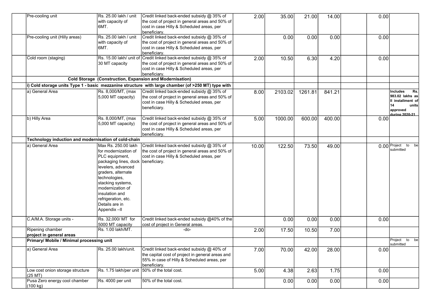| Pre-cooling unit                                     | Rs. 25.00 lakh / unit              | Credit linked back-ended subsidy @ 35% of                                                          | 2.00  | 35.00   | 21.00   | 14.00  | 0.00 |                            |
|------------------------------------------------------|------------------------------------|----------------------------------------------------------------------------------------------------|-------|---------|---------|--------|------|----------------------------|
|                                                      | with capacity of<br>6MT.           | the cost of project in general areas and 50% of<br>cost in case Hilly & Scheduled areas, per       |       |         |         |        |      |                            |
|                                                      |                                    | beneficiary.                                                                                       |       |         |         |        |      |                            |
| Pre-cooling unit (Hilly areas)                       | Rs. 25.00 lakh / unit              | Credit linked back-ended subsidy @ 35% of                                                          |       | 0.00    | 0.00    | 0.00   | 0.00 |                            |
|                                                      | with capacity of                   | the cost of project in general areas and 50% of                                                    |       |         |         |        |      |                            |
|                                                      | 6MT.                               | cost in case Hilly & Scheduled areas, per                                                          |       |         |         |        |      |                            |
|                                                      |                                    | beneficiary.                                                                                       |       |         |         |        |      |                            |
| Cold room (staging)                                  |                                    | Rs. 15.00 lakh/ unit of Credit linked back-ended subsidy @ 35% of                                  | 2.00  | 10.50   | 6.30    | 4.20   | 0.00 |                            |
|                                                      | 30 MT capacity                     | the cost of project in general areas and 50% of                                                    |       |         |         |        |      |                            |
|                                                      |                                    | cost in case Hilly & Scheduled areas, per                                                          |       |         |         |        |      |                            |
|                                                      |                                    | beneficiary.                                                                                       |       |         |         |        |      |                            |
|                                                      |                                    | <b>Cold Storage (Construction, Expansion and Modernisation)</b>                                    |       |         |         |        |      |                            |
|                                                      |                                    | i) Cold storage units Type 1 - basic mezzanine structure with large chamber (of >250 MT) type with |       |         |         |        |      |                            |
| a) General Area                                      | Rs. 8,000/MT, (max                 | Credit linked back-ended subsidy @ 35% of                                                          | 8.00  | 2103.02 | 1261.81 | 841.21 |      | <b>Includes</b><br>Rs.     |
|                                                      | 5,000 MT capacity)                 | the cost of project in general areas and 50% of                                                    |       |         |         |        |      | 983.02 lakhs as            |
|                                                      |                                    | cost in case Hilly & Scheduled areas, per                                                          |       |         |         |        |      | II installment of          |
|                                                      |                                    | beneficiary.                                                                                       |       |         |         |        |      | 14<br>units                |
|                                                      |                                    |                                                                                                    |       |         |         |        |      | approved<br>during 2020-21 |
| b) Hilly Area                                        | Rs. 8,000/MT, (max                 | Credit linked back-ended subsidy @ 35% of                                                          | 5.00  | 1000.00 | 600.00  | 400.00 | 0.00 |                            |
|                                                      | 5,000 MT capacity)                 | the cost of project in general areas and 50% of                                                    |       |         |         |        |      |                            |
|                                                      |                                    | cost in case Hilly & Scheduled areas, per                                                          |       |         |         |        |      |                            |
|                                                      |                                    | beneficiary.                                                                                       |       |         |         |        |      |                            |
| Technology induction and modernisation of cold-chain |                                    |                                                                                                    |       |         |         |        |      |                            |
| a) General Area                                      | Max Rs. 250.00 lakh                | Credit linked back-ended subsidy @ 35% of                                                          | 10.00 | 122.50  | 73.50   | 49.00  |      | $0.00$ Project<br>to be    |
|                                                      | lfor modernization of              | the cost of project in general areas and 50% of                                                    |       |         |         |        |      | submitted                  |
|                                                      | PLC equipment,                     | cost in case Hilly & Scheduled areas, per                                                          |       |         |         |        |      |                            |
|                                                      | packaging lines, dock beneficiary. |                                                                                                    |       |         |         |        |      |                            |
|                                                      | levelers, advanced                 |                                                                                                    |       |         |         |        |      |                            |
|                                                      | graders, alternate                 |                                                                                                    |       |         |         |        |      |                            |
|                                                      | technologies,                      |                                                                                                    |       |         |         |        |      |                            |
|                                                      | stacking systems,                  |                                                                                                    |       |         |         |        |      |                            |
|                                                      | modernization of                   |                                                                                                    |       |         |         |        |      |                            |
|                                                      | insulation and                     |                                                                                                    |       |         |         |        |      |                            |
|                                                      | refrigeration, etc.                |                                                                                                    |       |         |         |        |      |                            |
|                                                      | Details are in                     |                                                                                                    |       |         |         |        |      |                            |
|                                                      | Appendix-II                        |                                                                                                    |       |         |         |        |      |                            |
|                                                      |                                    |                                                                                                    |       |         |         |        |      |                            |
| C.A/M.A. Storage units -                             | Rs. 32,000/ MT for                 | Credit linked back-ended subsidy @40% of the                                                       |       | 0.00    | 0.00    | 0.00   | 0.00 |                            |
|                                                      | 5000 MT capacity                   | cost of project in General areas.                                                                  |       |         |         |        |      |                            |
| Ripening chamber                                     | Rs. 1.00 lakh/MT.                  | -do-                                                                                               | 2.00  | 17.50   | 10.50   | 7.00   |      |                            |
| project in general areas                             |                                    |                                                                                                    |       |         |         |        |      |                            |
| Primary/ Mobile / Minimal processing unit            |                                    |                                                                                                    |       |         |         |        |      | Project to be              |
|                                                      |                                    |                                                                                                    |       |         |         |        |      | submitted                  |
| a) General Area                                      | Rs. 25.00 lakh/unit.               | Credit linked back-ended subsidy @ 40% of                                                          | 7.00  | 70.00   | 42.00   | 28.00  | 0.00 |                            |
|                                                      |                                    | the capital cost of project in general areas and                                                   |       |         |         |        |      |                            |
|                                                      |                                    | 55% in case of Hilly & Scheduled areas, per                                                        |       |         |         |        |      |                            |
| Low cost onion storage structure                     | Rs. 1.75 lakh/per unit             | beneficiary.<br>50% of the total cost.                                                             |       |         |         |        |      |                            |
| $(25$ MT $)$                                         |                                    |                                                                                                    | 5.00  | 4.38    | 2.63    | 1.75   | 0.00 |                            |
| Pusa Zero energy cool chamber                        | Rs. 4000 per unit                  | 50% of the total cost.                                                                             |       | 0.00    | 0.00    | 0.00   | 0.00 |                            |
| (100 kg)                                             |                                    |                                                                                                    |       |         |         |        |      |                            |
|                                                      |                                    |                                                                                                    |       |         |         |        |      |                            |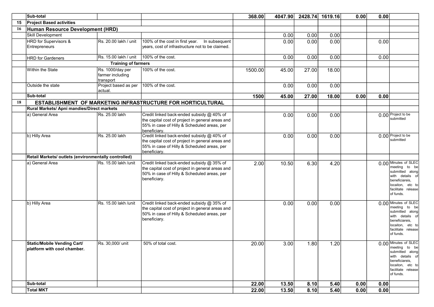|    | Sub-total                                                  |                                                   |                                                                                                                                                              | 368.00  | 4047.90 | 2428.74 | 1619.16 | 0.00 | 0.00 |                                                                                                                                                      |
|----|------------------------------------------------------------|---------------------------------------------------|--------------------------------------------------------------------------------------------------------------------------------------------------------------|---------|---------|---------|---------|------|------|------------------------------------------------------------------------------------------------------------------------------------------------------|
| 15 | <b>Project Based activities</b>                            |                                                   |                                                                                                                                                              |         |         |         |         |      |      |                                                                                                                                                      |
| 16 | Human Resource Development (HRD)                           |                                                   |                                                                                                                                                              |         |         |         |         |      |      |                                                                                                                                                      |
|    | <b>Skill Development</b>                                   |                                                   |                                                                                                                                                              |         | 0.00    | 0.00    | 0.00    |      |      |                                                                                                                                                      |
|    | HRD for Supervisors &<br>Entrepreneurs                     | Rs. 20.00 lakh / unit                             | 100% of the cost in first year.  In subsequent<br>years, cost of infrastructure not to be claimed.                                                           |         | 0.00    | 0.00    | 0.00    |      | 0.00 |                                                                                                                                                      |
|    | <b>HRD</b> for Gardeners                                   | Rs. 15.00 lakh / unit                             | 100% of the cost.                                                                                                                                            |         | 0.00    | 0.00    | 0.00    |      | 0.00 |                                                                                                                                                      |
|    |                                                            | <b>Training of farmers</b>                        |                                                                                                                                                              |         |         |         |         |      |      |                                                                                                                                                      |
|    | Within the State                                           | Rs. 1000/day per<br>farmer including<br>transport | 100% of the cost.                                                                                                                                            | 1500.00 | 45.00   | 27.00   | 18.00   |      |      |                                                                                                                                                      |
|    | Outside the state                                          | Project based as per<br>actual.                   | 100% of the cost.                                                                                                                                            |         | 0.00    | 0.00    | 0.00    |      |      |                                                                                                                                                      |
|    | Sub-total                                                  |                                                   |                                                                                                                                                              | 1500    | 45.00   | 27.00   | 18.00   | 0.00 | 0.00 |                                                                                                                                                      |
| 18 |                                                            |                                                   | ESTABLISHMENT OF MARKETING INFRASTRUCTURE FOR HORTICULTURAL                                                                                                  |         |         |         |         |      |      |                                                                                                                                                      |
|    | Rural Markets/ Apni mandies/Direct markets                 |                                                   |                                                                                                                                                              |         |         |         |         |      |      |                                                                                                                                                      |
|    | a) General Area                                            | Rs. 25.00 lakh                                    | Credit linked back-ended subsidy @ 40% of<br>the capital cost of project in general areas and<br>55% in case of Hilly & Scheduled areas, per<br>beneficiary. |         | 0.00    | 0.00    | 0.00    |      |      | 0.00 Project to be<br>Isubmitted                                                                                                                     |
|    | b) Hilly Area                                              | Rs. 25.00 lakh                                    | Credit linked back-ended subsidy @ 40% of<br>the capital cost of project in general areas and<br>55% in case of Hilly & Scheduled areas, per<br>beneficiary. |         | 0.00    | 0.00    | 0.00    |      |      | 0.00 Project to be<br>submitted                                                                                                                      |
|    | Retail Markets/ outlets (environmentally controlled)       |                                                   |                                                                                                                                                              |         |         |         |         |      |      |                                                                                                                                                      |
|    | a) General Area                                            | Rs. 15.00 lakh /unit                              | Credit linked back-ended subsidy @ 35% of<br>the capital cost of project in general areas and<br>50% in case of Hilly & Scheduled areas, per<br>beneficiary. | 2.00    | 10.50   | 6.30    | 4.20    |      |      | 0.00 Minutes of SLEC<br>meeting to be<br>submitted along<br>with details of<br>beneficiareis,<br>locaiton, etc to<br>facilitate release<br>of funds. |
|    | b) Hilly Area                                              | Rs. 15.00 lakh /unit                              | Credit linked back-ended subsidy @ 35% of<br>the capital cost of project in general areas and<br>50% in case of Hilly & Scheduled areas, per<br>beneficiary. |         | 0.00    | 0.00    | 0.00    |      |      | 0.00 Minutes of SLEC<br>meeting to be<br>submitted along<br>with details of<br>beneficiareis,<br>locaiton, etc to<br>facilitate release<br>of funds. |
|    | Static/Mobile Vending Cart/<br>platform with cool chamber. | Rs. 30,000/ unit                                  | 50% of total cost.                                                                                                                                           | 20.00   | 3.00    | 1.80    | 1.20    |      |      | 0.00 Minutes of SLEC<br>meeting to be<br>submitted along<br>with details of<br>beneficiareis,<br>locaiton, etc to<br>facilitate release<br>of funds. |
|    | Sub-total                                                  |                                                   |                                                                                                                                                              | 22.00   | 13.50   | 8.10    | 5.40    | 0.00 | 0.00 |                                                                                                                                                      |
|    | <b>Total MKT</b>                                           |                                                   |                                                                                                                                                              | 22.00   | 13.50   | 8.10    | 5.40    | 0.00 | 0.00 |                                                                                                                                                      |